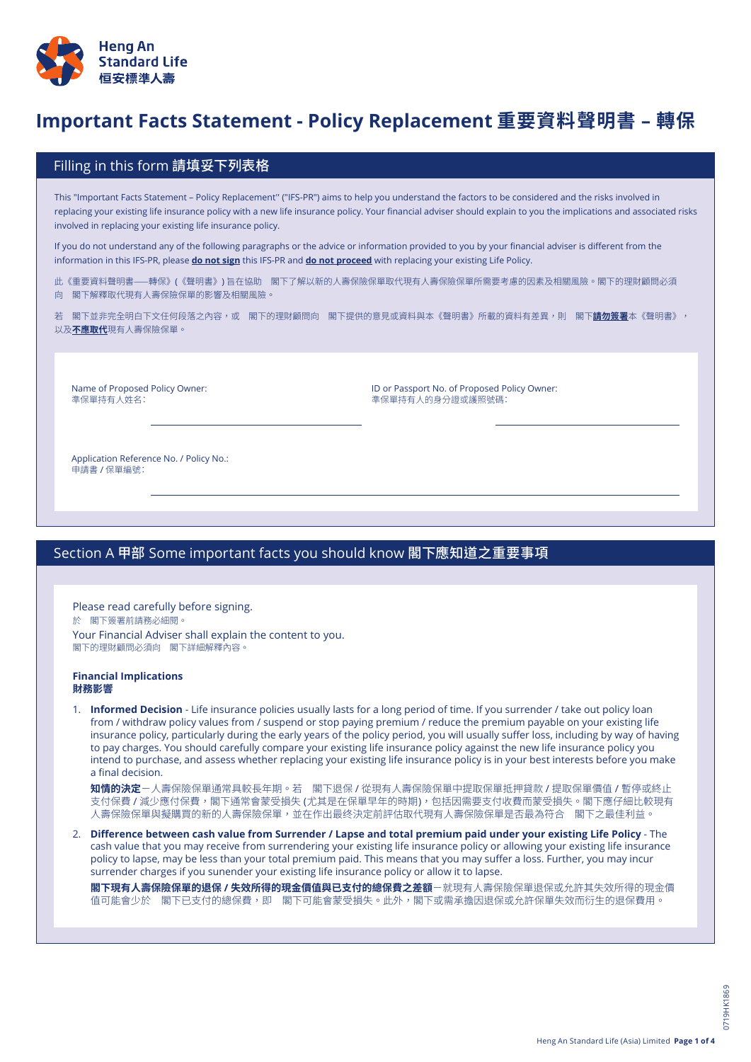

# <mark>Important Facts Statement - Policy Replacement 重要資料聲明書 – 轉保</mark>

## Filling in this form 請填妥下列表格

This "Important Facts Statement – Policy Replacement'' ("IFS-PR") aims to help you understand the factors to be considered and the risks involved in replacing your existing life insurance policy with a new life insurance policy. Your financial adviser should explain to you the implications and associated risks involved in replacing your existing life insurance policy.

If you do not understand any of the following paragraphs or the advice or information provided to you by your financial adviser is different from the information in this IFS-PR, please **do not sign** this IFS-PR and **do not proceed** with replacing your existing Life Policy.

此《重要資料聲明書⸺轉保》(《聲明書》) 旨在協助 閣下了解以新的人壽保險保單取代現有人壽保險保單所需要考慮的因素及相關風險。閣下的理財顧問必須 向 閣下解釋取代現有人壽保險保單的影響及相關風險。

若 閣下並非完全明白下文任何段落之內容,或 閣下的理財顧問向 閣下提供的意見或資料與本《聲明書》所載的資料有差異,則 閣下**請勿簽署**本《聲明書》, 以及**不應取代**現有人壽保險保單。

Name of Proposed Policy Owner: 準保單持有人姓名:

ID or Passport No. of Proposed Policy Owner: 準保單持有人的身分證或護照號碼:

Application Reference No. / Policy No.: 申請書 / 保單編號:

# Section A 甲部 Some important facts you should know 閣下應知道之重要事項

Please read carefully before signing. 於 閣下簽署前請務必細閱。 Your Financial Adviser shall explain the content to you. 閣下的理財顧問必須向 閣下詳細解釋內容。

#### **Financial Implications 財務影響**

1. **Informed Decision** - Life insurance policies usually lasts for a long period of time. If you surrender / take out policy loan from / withdraw policy values from / suspend or stop paying premium / reduce the premium payable on your existing life insurance policy, particularly during the early years of the policy period, you will usually suffer loss, including by way of having to pay charges. You should carefully compare your existing life insurance policy against the new life insurance policy you intend to purchase, and assess whether replacing your existing life insurance policy is in your best interests before you make a final decision.

**知情的決定**-人壽保險保單通常具較長年期。若 閣下退保 / 從現有人壽保險保單中提取保單抵押貸款 / 提取保單價值 / 暫停或終止 支付保費 / 減少應付保費,閣下通常會蒙受損失 (尤其是在保單早年的時期),包括因需要支付收費而蒙受損失。閣下應仔細比較現有 人壽保險保單與擬購買的新的人壽保險保單,並在作出最终決定前評估取代現有人壽保險保單是否最為符合 閣下之最佳利益。

2. Difference between cash value from Surrender / Lapse and total premium paid under your existing Life Policy - The cash value that you may receive from surrendering your existing life insurance policy or allowing your existing life insurance policy to lapse, may be less than your total premium paid. This means that you may suffer a loss. Further, you may incur surrender charges if you sunender your existing life insurance policy or allow it to lapse.

**閣下現有人壽保險保單的退保 / 失效所得的現金價值與已支付的總保費之差額**-就現有人壽保險保單退保或允許其失效所得的現金價 值可能會少於 閣下已支付的總保費,即 閣下可能會蒙受損失。此外,閣下或需承擔因退保或允許保單失效而衍生的退保費用。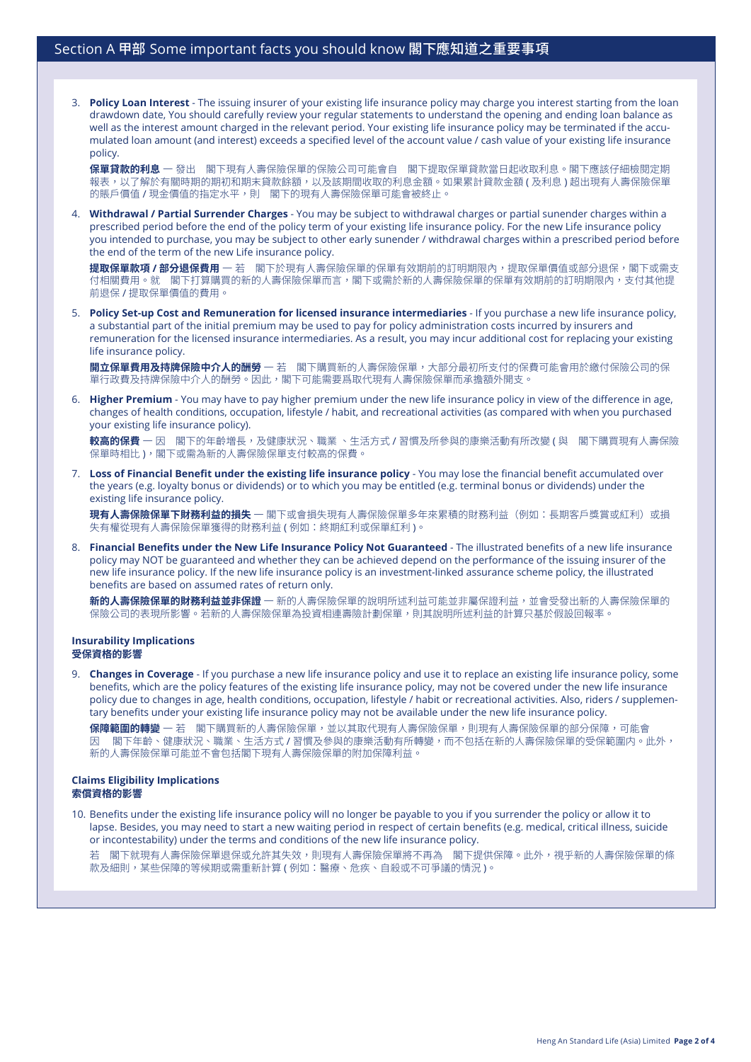3. **Policy Loan Interest** - The issuing insurer of your existing life insurance policy may charge you interest starting from the loan drawdown date, You should carefully review your regular statements to understand the opening and ending loan balance as well as the interest amount charged in the relevant period. Your existing life insurance policy may be terminated if the accumulated loan amount (and interest) exceeds a specified level of the account value / cash value of your existing life insurance policy.

**保單貸款的利息** 一 發出 閣下現有人壽保險保單的保險公司可能會自 閣下提取保單貸款當日起收取利息。閣下應該仔細檢閱定期 報表,以了解於有關時期的期初和期末貸款餘額,以及該期間收取的利息金額。如果累計貸款金額 ( 及利息 ) 超出現有人壽保險保單 的賬戶價值 / 現金價值的指定水平,則 閣下的現有人壽保險保單可能會被終止。

4. **Withdrawal / Partial Surrender Charges** - You may be subject to withdrawal charges or partial sunender charges within a prescribed period before the end of the policy term of your existing life insurance policy. For the new Life insurance policy you intended to purchase, you may be subject to other early sunender / withdrawal charges within a prescribed period before the end of the term of the new Life insurance policy.

提取保單款項 / 部分退保費用 一 若 閣下於現有人壽保險保單的保單有效期前的訂明期限內,提取保單價值或部分退保,閣下或需支 付相關費用。就 閣下打算購買的新的人壽保險保單而言,閣下或需於新的人壽保險保單的保單有效期前的訂明期限內,支付其他提 前退保 / 提取保單價值的費用。

5. **Policy Set-up Cost and Remuneration for licensed insurance intermediaries** - If you purchase a new life insurance policy, a substantial part of the initial premium may be used to pay for policy administration costs incurred by insurers and remuneration for the licensed insurance intermediaries. As a result, you may incur additional cost for replacing your existing life insurance policy.

**開立保單費用及持牌保險中介人的酬勞** 一 若 閣下購買新的人壽保險保單,大部分最初所支付的保費可能會用於繳付保險公司的保 單行政費及持牌保險中介人的酬勞。因此,閣下可能需要爲取代現有人壽保險保單而承擔額外開支。

6. **Higher Premium** - You may have to pay higher premium under the new life insurance policy in view of the difference in age, changes of health conditions, occupation, lifestyle / habit, and recreational activities (as compared with when you purchased your existing life insurance policy).

**較高的保費** 一 因 閣下的年齡増長,及健康狀況、職業 、生活方式 / 習慣及所參與的康樂活動有所改變 ( 與 閣下購買現有人壽保險 保單時相比 ),閣下或需為新的人壽保險保單支付較高的保費。

7. **Loss of Financial Benefit under the existing life insurance policy** - You may lose the financial benefit accumulated over the years (e.g. loyalty bonus or dividends) or to which you may be entitled (e.g. terminal bonus or dividends) under the existing life insurance policy.

**現有人壽保險保單下財務利益的損失** 一 閣下或會損失現有人壽保險保單多年來累積的財務利益(例如:長期客戶獎賞或紅利)或損 失有權從現有人壽保險保單獲得的財務利益 ( 例如:終期紅利或保單紅利 )。

8. **Financial Benefits under the New Life Insurance Policy Not Guaranteed** - The illustrated benefits of a new life insurance policy may NOT be guaranteed and whether they can be achieved depend on the performance of the issuing insurer of the new life insurance policy. If the new life insurance policy is an investment-linked assurance scheme policy, the illustrated benefits are based on assumed rates of return only.

**新的人壽保險保單的財務利益並非保證** 一 新的人壽保險保單的說明所述利益可能並非屬保證利益,並會受發出新的人壽保險保單的 保險公司的表現所影響。若新的人壽保險保單為投資相連壽險計劃保單,則其說明所述利益的計算只基於假設回報率。

#### **Insurability Implications 受保資格的影響**

9. **Changes in Coverage** - If you purchase a new life insurance policy and use it to replace an existing life insurance policy, some benefits, which are the policy features of the existing life insurance policy, may not be covered under the new life insurance policy due to changes in age, health conditions, occupation, lifestyle / habit or recreational activities. Also, riders / supplementary benefits under your existing life insurance policy may not be available under the new life insurance policy.

**保障範圍的轉變** 一 若 閣下購買新的人壽保險保單,並以其取代現有人壽保險保單,則現有人壽保險保單的部分保障,可能會 因 閣下年齡、健康狀況、職業、生活方式/習慣及參與的康樂活動有所轉變,而不包括在新的人壽保險保單的受保範圍内。此外, 新的人壽保險保單可能並不會包括閣下現有人壽保險保單的附加保障利益。

#### **Claims Eligibility Implications 索償資格的影響**

10. Benefits under the existing life insurance policy will no longer be payable to you if you surrender the policy or allow it to lapse. Besides, you may need to start a new waiting period in respect of certain benefits (e.g. medical, critical illness, suicide or incontestability) under the terms and conditions of the new life insurance policy.

若 閣下就現有人壽保險保單退保或允許其失效,則現有人壽保險保單將不再為 閣下提供保障。此外,視乎新的人壽保險保單的條 款及細則,某些保障的等候期或需重新計算 ( 例如:醫療、危疾、自殺或不可爭議的情況 )。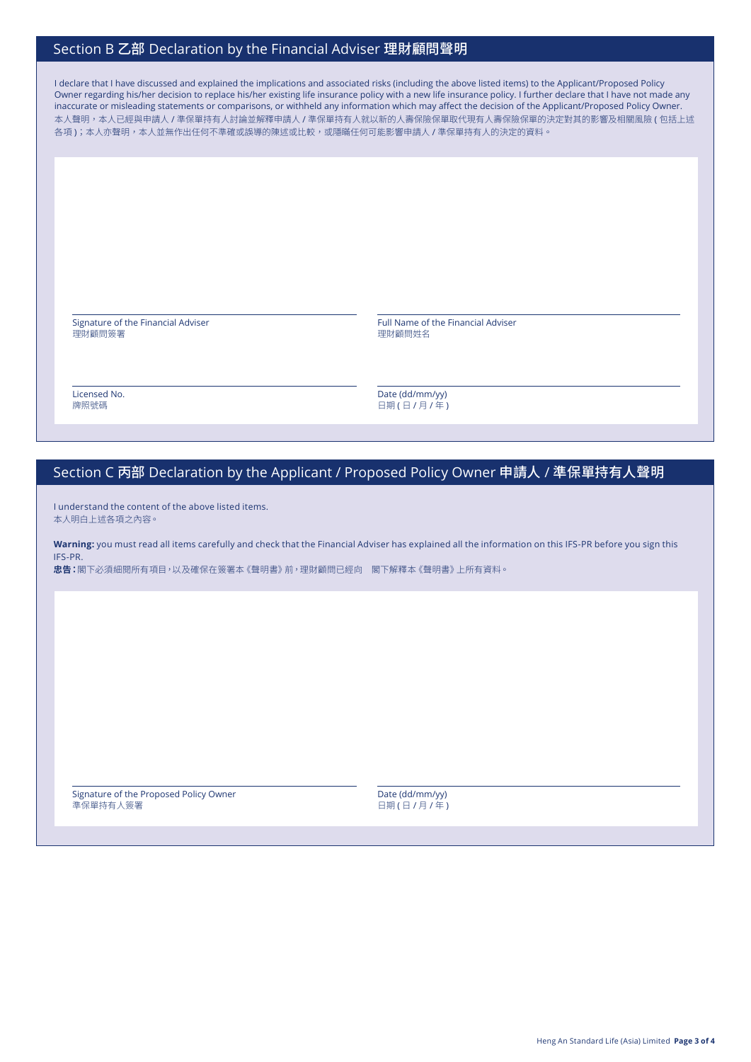## Section B 乙部 Declaration by the Financial Adviser 理財顧問聲明

I declare that I have discussed and explained the implications and associated risks (including the above listed items) to the Applicant/Proposed Policy Owner regarding his/her decision to replace his/her existing life insurance policy with a new life insurance policy. I further declare that I have not made any inaccurate or misleading statements or comparisons, or withheld any information which may affect the decision of the Applicant/Proposed Policy Owner. 本人聲明,本人已經與申請人 / 準保單持有人討論並解釋申請人 / 準保單持有人就以新的人壽保險保單取代現有人壽保險保單的決定對其的影響及相關風險 ( 包括上述 各項);本人亦聲明,本人並無作出任何不準確或誤導的陳述或比較,或隱瞞任何可能影響申請人 / 準保單持有人的決定的資料。

Signature of the Financial Adviser 理財顧問簽署

Full Name of the Financial Adviser 理財顧問姓名

Licensed No. 牌照號碼

Date (dd/mm/yy) 日期 ( 日 / 月 / 年 )

# Section C 丙部 Declaration by the Applicant / Proposed Policy Owner 申請人 / 準保單持有人聲明

I understand the content of the above listed items. 本人明白上述各項之內容。

**Warning:** you must read all items carefully and check that the Financial Adviser has explained all the information on this IFS-PR before you sign this IFS-PR.

**忠告:**閣下必須細閱所有項目,以及確保在簽署本《聲明書》前,理財顧問已經向 閣下解釋本《聲明書》上所有資料。

Signature of the Proposed Policy Owner 準保單持有人簽署

Date (dd/mm/yy) 日期 ( 日 / 月 / 年 )